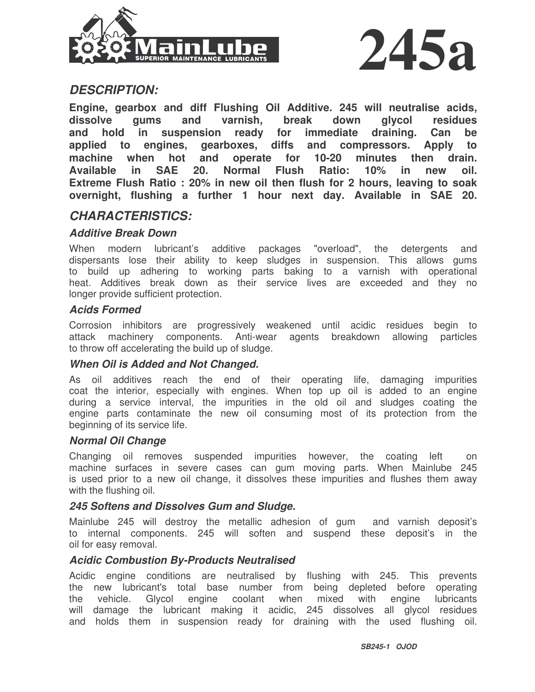



## *DESCRIPTION:*

**Engine, gearbox and diff Flushing Oil Additive. 245 will neutralise acids, dissolve gums and varnish, break down glycol residues and hold in suspension ready for immediate draining. Can be applied to engines, gearboxes, diffs and compressors. Apply to machine when hot and operate for 10-20 minutes then drain. Available in SAE 20. Normal Flush Ratio: 10% in new oil. Extreme Flush Ratio : 20% in new oil then flush for 2 hours, leaving to soak overnight, flushing a further 1 hour next day. Available in SAE 20.**

## *CHARACTERISTICS:*

#### *Additive Break Down*

When modern lubricant's additive packages "overload", the detergents and dispersants lose their ability to keep sludges in suspension. This allows gums to build up adhering to working parts baking to a varnish with operational heat. Additives break down as their service lives are exceeded and they no longer provide sufficient protection.

#### *Acids Formed*

Corrosion inhibitors are progressively weakened until acidic residues begin to attack machinery components. Anti-wear agents breakdown allowing particles to throw off accelerating the build up of sludge.

#### *When Oil is Added and Not Changed.*

As oil additives reach the end of their operating life, damaging impurities coat the interior, especially with engines. When top up oil is added to an engine during a service interval, the impurities in the old oil and sludges coating the engine parts contaminate the new oil consuming most of its protection from the beginning of its service life.

#### *Normal Oil Change*

Changing oil removes suspended impurities however, the coating left on machine surfaces in severe cases can gum moving parts. When Mainlube 245 is used prior to a new oil change, it dissolves these impurities and flushes them away with the flushing oil.

#### *245 Softens and Dissolves Gum and Sludge.*

Mainlube 245 will destroy the metallic adhesion of gum and varnish deposit's to internal components. 245 will soften and suspend these deposit's in the oil for easy removal.

#### *Acidic Combustion By-Products Neutralised*

Acidic engine conditions are neutralised by flushing with 245. This prevents the new lubricant's total base number from being depleted before operating the vehicle. Glycol engine coolant when mixed with engine lubricants will damage the lubricant making it acidic, 245 dissolves all glycol residues and holds them in suspension ready for draining with the used flushing oil.